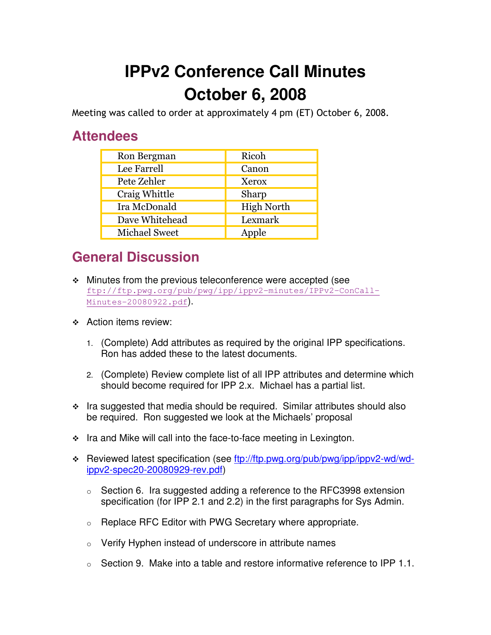## **IPPv2 Conference Call Minutes October 6, 2008**

Meeting was called to order at approximately 4 pm (ET) October 6, 2008.

## **Attendees**

| Ron Bergman          | Ricoh             |
|----------------------|-------------------|
| Lee Farrell          | Canon             |
| Pete Zehler          | Xerox             |
| Craig Whittle        | Sharp             |
| Ira McDonald         | <b>High North</b> |
| Dave Whitehead       | Lexmark           |
| <b>Michael Sweet</b> | Apple             |

## **General Discussion**

- Minutes from the previous teleconference were accepted (see ftp://ftp.pwg.org/pub/pwg/ipp/ippv2-minutes/IPPv2-ConCall-Minutes-20080922.pdf).
- **↑ Action items review:** 
	- 1. (Complete) Add attributes as required by the original IPP specifications. Ron has added these to the latest documents.
	- 2. (Complete) Review complete list of all IPP attributes and determine which should become required for IPP 2.x. Michael has a partial list.
- $\cdot$  Ira suggested that media should be required. Similar attributes should also be required. Ron suggested we look at the Michaels' proposal
- $\cdot$  Ira and Mike will call into the face-to-face meeting in Lexington.
- \* Reviewed latest specification (see ftp://ftp.pwg.org/pub/pwg/ipp/ippv2-wd/wdippv2-spec20-20080929-rev.pdf)
	- o Section 6. Ira suggested adding a reference to the RFC3998 extension specification (for IPP 2.1 and 2.2) in the first paragraphs for Sys Admin.
	- o Replace RFC Editor with PWG Secretary where appropriate.
	- o Verify Hyphen instead of underscore in attribute names
	- $\circ$  Section 9. Make into a table and restore informative reference to IPP 1.1.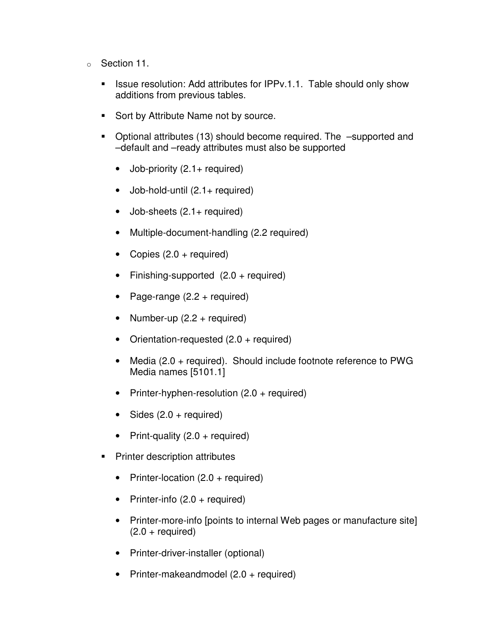- o Section 11.
	- - Issue resolution: Add attributes for IPPv.1.1. Table should only show additions from previous tables.
	- -Sort by Attribute Name not by source.
	- Optional attributes (13) should become required. The –supported and –default and –ready attributes must also be supported
		- Job-priority  $(2.1 +$  required)
		- $\bullet$  Job-hold-until  $(2.1 +$  required)
		- Job-sheets (2.1+ required)
		- Multiple-document-handling (2.2 required)
		- Copies  $(2.0 + \text{required})$
		- Finishing-supported (2.0 + required)
		- Page-range  $(2.2 + required)$
		- Number-up  $(2.2 +$  required)
		- Orientation-requested (2.0 + required)
		- Media (2.0 + required). Should include footnote reference to PWG Media names [5101.1]
		- Printer-hyphen-resolution (2.0 + required)
		- Sides  $(2.0 + required)$
		- Print-quality  $(2.0 +$  required)
	- - Printer description attributes
		- Printer-location (2.0 + required)
		- Printer-info  $(2.0 + \text{required})$
		- Printer-more-info [points to internal Web pages or manufacture site]  $(2.0 + required)$
		- Printer-driver-installer (optional)
		- Printer-makeandmodel (2.0 + required)